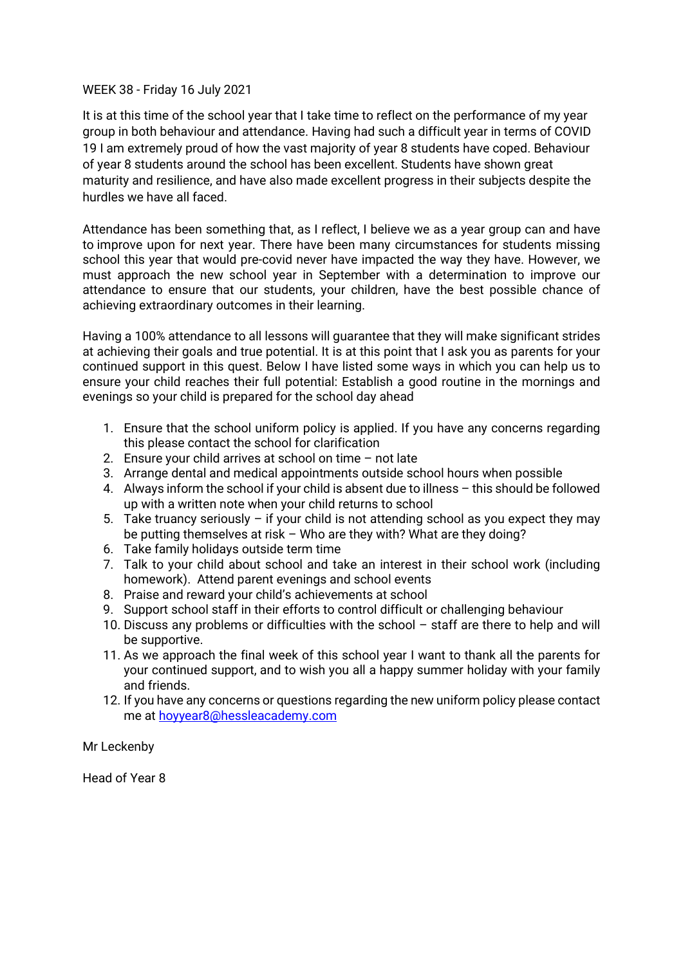# WEEK 38 - Friday 16 July 2021

It is at this time of the school year that I take time to reflect on the performance of my year group in both behaviour and attendance. Having had such a difficult year in terms of COVID 19 I am extremely proud of how the vast majority of year 8 students have coped. Behaviour of year 8 students around the school has been excellent. Students have shown great maturity and resilience, and have also made excellent progress in their subjects despite the hurdles we have all faced.

Attendance has been something that, as I reflect, I believe we as a year group can and have to improve upon for next year. There have been many circumstances for students missing school this year that would pre-covid never have impacted the way they have. However, we must approach the new school year in September with a determination to improve our attendance to ensure that our students, your children, have the best possible chance of achieving extraordinary outcomes in their learning.

Having a 100% attendance to all lessons will guarantee that they will make significant strides at achieving their goals and true potential. It is at this point that I ask you as parents for your continued support in this quest. Below I have listed some ways in which you can help us to ensure your child reaches their full potential: Establish a good routine in the mornings and evenings so your child is prepared for the school day ahead

- 1. Ensure that the school uniform policy is applied. If you have any concerns regarding this please contact the school for clarification
- 2. Ensure your child arrives at school on time not late
- 3. Arrange dental and medical appointments outside school hours when possible
- 4. Always inform the school if your child is absent due to illness this should be followed up with a written note when your child returns to school
- 5. Take truancy seriously if your child is not attending school as you expect they may be putting themselves at risk – Who are they with? What are they doing?
- 6. Take family holidays outside term time
- 7. Talk to your child about school and take an interest in their school work (including homework). Attend parent evenings and school events
- 8. Praise and reward your child's achievements at school
- 9. Support school staff in their efforts to control difficult or challenging behaviour
- 10. Discuss any problems or difficulties with the school staff are there to help and will be supportive.
- 11. As we approach the final week of this school year I want to thank all the parents for your continued support, and to wish you all a happy summer holiday with your family and friends.
- 12. If you have any concerns or questions regarding the new uniform policy please contact me at [hoyyear8@hessleacademy.com](mailto:hoy8@hessleacademy.com)

Mr Leckenby

Head of Year 8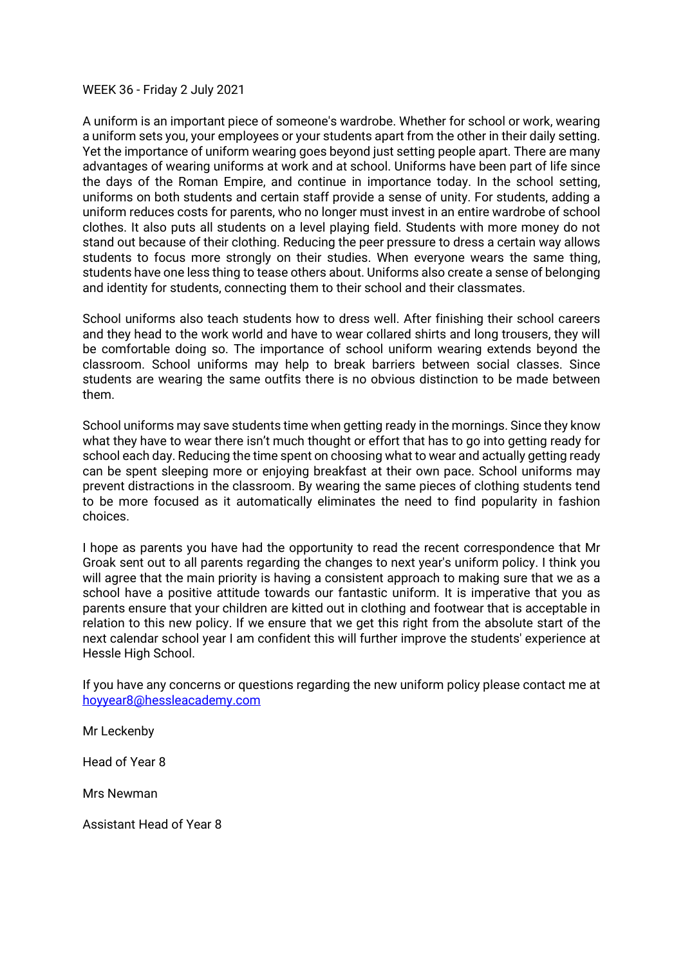#### WEEK 36 - Friday 2 July 2021

A uniform is an important piece of someone's wardrobe. Whether for school or work, wearing a uniform sets you, your employees or your students apart from the other in their daily setting. Yet the importance of uniform wearing goes beyond just setting people apart. There are many advantages of wearing uniforms at work and at school. Uniforms have been part of life since the days of the Roman Empire, and continue in importance today. In the school setting, uniforms on both students and certain staff provide a sense of unity. For students, adding a uniform reduces costs for parents, who no longer must invest in an entire wardrobe of school clothes. It also puts all students on a level playing field. Students with more money do not stand out because of their clothing. Reducing the peer pressure to dress a certain way allows students to focus more strongly on their studies. When everyone wears the same thing, students have one less thing to tease others about. Uniforms also create a sense of belonging and identity for students, connecting them to their school and their classmates.

School uniforms also teach students how to dress well. After finishing their school careers and they head to the work world and have to wear collared shirts and long trousers, they will be comfortable doing so. The importance of school uniform wearing extends beyond the classroom. School uniforms may help to break barriers between social classes. Since students are wearing the same outfits there is no obvious distinction to be made between them.

School uniforms may save students time when getting ready in the mornings. Since they know what they have to wear there isn't much thought or effort that has to go into getting ready for school each day. Reducing the time spent on choosing what to wear and actually getting ready can be spent sleeping more or enjoying breakfast at their own pace. School uniforms may prevent distractions in the classroom. By wearing the same pieces of clothing students tend to be more focused as it automatically eliminates the need to find popularity in fashion choices.

I hope as parents you have had the opportunity to read the recent correspondence that Mr Groak sent out to all parents regarding the changes to next year's uniform policy. I think you will agree that the main priority is having a consistent approach to making sure that we as a school have a positive attitude towards our fantastic uniform. It is imperative that you as parents ensure that your children are kitted out in clothing and footwear that is acceptable in relation to this new policy. If we ensure that we get this right from the absolute start of the next calendar school year I am confident this will further improve the students' experience at Hessle High School.

If you have any concerns or questions regarding the new uniform policy please contact me at [hoyyear8@hessleacademy.com](mailto:hoy8@hessleacademy.com)

Mr Leckenby

Head of Year 8

Mrs Newman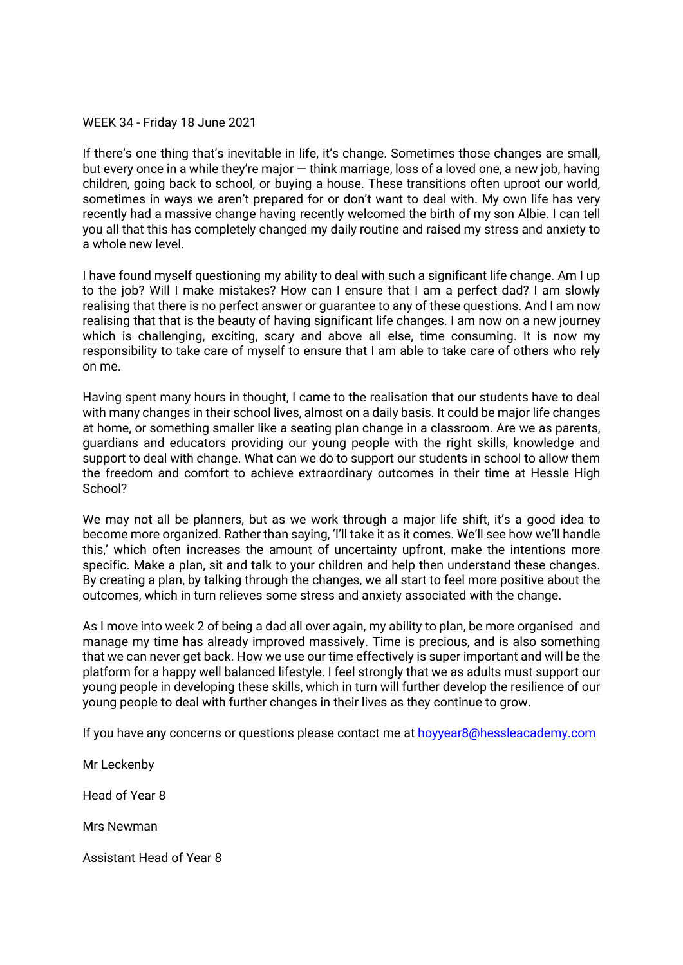## WEEK 34 - Friday 18 June 2021

If there's one thing that's inevitable in life, it's change. Sometimes those changes are small, but every once in a while they're major — think marriage, loss of a loved one, a new job, having children, going back to school, or buying a house. These transitions often uproot our world, sometimes in ways we aren't prepared for or don't want to deal with. My own life has very recently had a massive change having recently welcomed the birth of my son Albie. I can tell you all that this has completely changed my daily routine and raised my stress and anxiety to a whole new level.

I have found myself questioning my ability to deal with such a significant life change. Am I up to the job? Will I make mistakes? How can I ensure that I am a perfect dad? I am slowly realising that there is no perfect answer or guarantee to any of these questions. And I am now realising that that is the beauty of having significant life changes. I am now on a new journey which is challenging, exciting, scary and above all else, time consuming. It is now my responsibility to take care of myself to ensure that I am able to take care of others who rely on me.

Having spent many hours in thought, I came to the realisation that our students have to deal with many changes in their school lives, almost on a daily basis. It could be major life changes at home, or something smaller like a seating plan change in a classroom. Are we as parents, guardians and educators providing our young people with the right skills, knowledge and support to deal with change. What can we do to support our students in school to allow them the freedom and comfort to achieve extraordinary outcomes in their time at Hessle High School?

We may not all be planners, but as we work through a major life shift, it's a good idea to become more organized. Rather than saying, 'I'll take it as it comes. We'll see how we'll handle this,' which often increases the amount of uncertainty upfront, make the intentions more specific. Make a plan, sit and talk to your children and help then understand these changes. By creating a plan, by talking through the changes, we all start to feel more positive about the outcomes, which in turn relieves some stress and anxiety associated with the change.

As I move into week 2 of being a dad all over again, my ability to plan, be more organised and manage my time has already improved massively. Time is precious, and is also something that we can never get back. How we use our time effectively is super important and will be the platform for a happy well balanced lifestyle. I feel strongly that we as adults must support our young people in developing these skills, which in turn will further develop the resilience of our young people to deal with further changes in their lives as they continue to grow.

If you have any concerns or questions please contact me at [hoyyear8@hessleacademy.com](mailto:hoy8@hessleacademy.com)

Mr Leckenby

Head of Year 8

Mrs Newman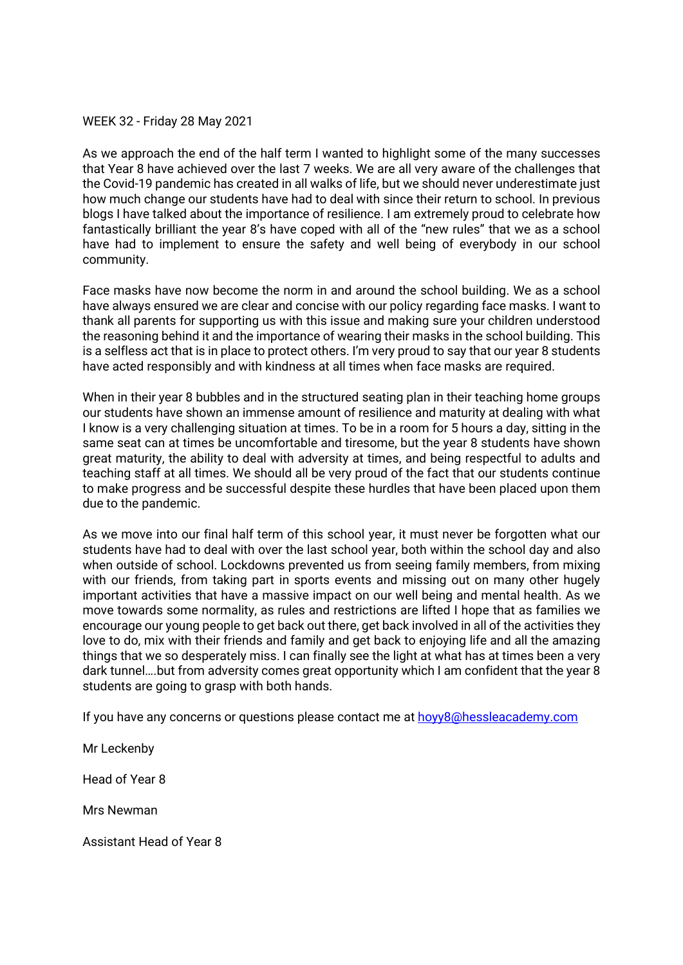# WEEK 32 - Friday 28 May 2021

As we approach the end of the half term I wanted to highlight some of the many successes that Year 8 have achieved over the last 7 weeks. We are all very aware of the challenges that the Covid-19 pandemic has created in all walks of life, but we should never underestimate just how much change our students have had to deal with since their return to school. In previous blogs I have talked about the importance of resilience. I am extremely proud to celebrate how fantastically brilliant the year 8's have coped with all of the "new rules" that we as a school have had to implement to ensure the safety and well being of everybody in our school community.

Face masks have now become the norm in and around the school building. We as a school have always ensured we are clear and concise with our policy regarding face masks. I want to thank all parents for supporting us with this issue and making sure your children understood the reasoning behind it and the importance of wearing their masks in the school building. This is a selfless act that is in place to protect others. I'm very proud to say that our year 8 students have acted responsibly and with kindness at all times when face masks are required.

When in their year 8 bubbles and in the structured seating plan in their teaching home groups our students have shown an immense amount of resilience and maturity at dealing with what I know is a very challenging situation at times. To be in a room for 5 hours a day, sitting in the same seat can at times be uncomfortable and tiresome, but the year 8 students have shown great maturity, the ability to deal with adversity at times, and being respectful to adults and teaching staff at all times. We should all be very proud of the fact that our students continue to make progress and be successful despite these hurdles that have been placed upon them due to the pandemic.

As we move into our final half term of this school year, it must never be forgotten what our students have had to deal with over the last school year, both within the school day and also when outside of school. Lockdowns prevented us from seeing family members, from mixing with our friends, from taking part in sports events and missing out on many other hugely important activities that have a massive impact on our well being and mental health. As we move towards some normality, as rules and restrictions are lifted I hope that as families we encourage our young people to get back out there, get back involved in all of the activities they love to do, mix with their friends and family and get back to enjoying life and all the amazing things that we so desperately miss. I can finally see the light at what has at times been a very dark tunnel….but from adversity comes great opportunity which I am confident that the year 8 students are going to grasp with both hands.

If you have any concerns or questions please contact me at hovy8@hessleacademy.com

Mr Leckenby

Head of Year 8

Mrs Newman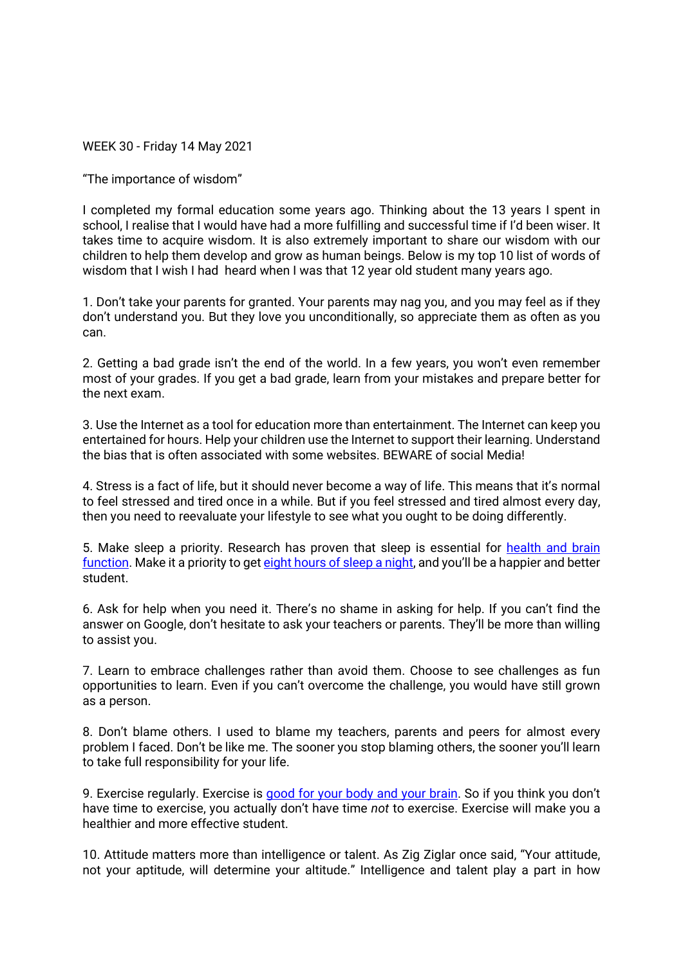WEEK 30 - Friday 14 May 2021

"The importance of wisdom"

I completed my formal education some years ago. Thinking about the 13 years I spent in school, I realise that I would have had a more fulfilling and successful time if I'd been wiser. It takes time to acquire wisdom. It is also extremely important to share our wisdom with our children to help them develop and grow as human beings. Below is my top 10 list of words of wisdom that I wish I had heard when I was that 12 year old student many years ago.

1. Don't take your parents for granted. Your parents may nag you, and you may feel as if they don't understand you. But they love you unconditionally, so appreciate them as often as you can.

2. Getting a bad grade isn't the end of the world. In a few years, you won't even remember most of your grades. If you get a bad grade, learn from your mistakes and prepare better for the next exam.

3. Use the Internet as a tool for education more than entertainment. The Internet can keep you entertained for hours. Help your children use the Internet to support their learning. Understand the bias that is often associated with some websites. BEWARE of social Media!

4. Stress is a fact of life, but it should never become a way of life. This means that it's normal to feel stressed and tired once in a while. But if you feel stressed and tired almost every day, then you need to reevaluate your lifestyle to see what you ought to be doing differently.

5. Make sleep a priority. Research has proven that sleep is essential for [health and brain](https://www.health.com/health/gallery/0,,20459221,00.html)  [function.](https://www.health.com/health/gallery/0,,20459221,00.html) Make it a priority to get [eight hours of sleep a night,](https://www.daniel-wong.com/webinar-top-student/) and you'll be a happier and better student.

6. Ask for help when you need it. There's no shame in asking for help. If you can't find the answer on Google, don't hesitate to ask your teachers or parents. They'll be more than willing to assist you.

7. Learn to embrace challenges rather than avoid them. Choose to see challenges as fun opportunities to learn. Even if you can't overcome the challenge, you would have still grown as a person.

8. Don't blame others. I used to blame my teachers, parents and peers for almost every problem I faced. Don't be like me. The sooner you stop blaming others, the sooner you'll learn to take full responsibility for your life.

9. Exercise regularly. Exercise is [good for your body and your brain.](https://greatist.com/fitness/13-awesome-mental-health-benefits-exercise) So if you think you don't have time to exercise, you actually don't have time *not* to exercise. Exercise will make you a healthier and more effective student.

10. Attitude matters more than intelligence or talent. As Zig Ziglar once said, "Your attitude, not your aptitude, will determine your altitude." Intelligence and talent play a part in how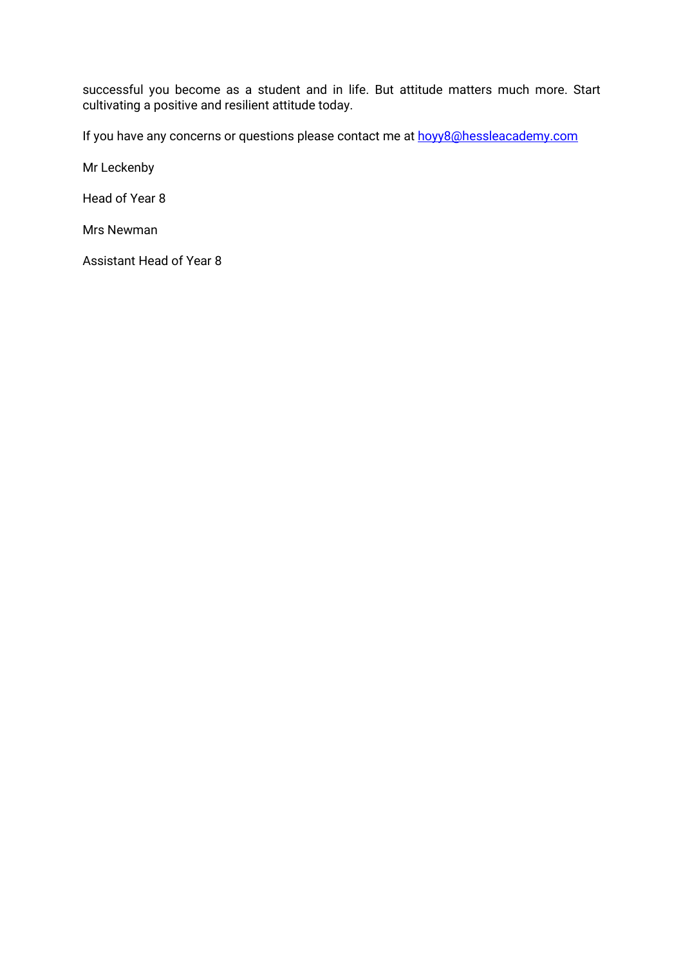successful you become as a student and in life. But attitude matters much more. Start cultivating a positive and resilient attitude today.

If you have any concerns or questions please contact me at hovy8@hessleacademy.com

Mr Leckenby

Head of Year 8

Mrs Newman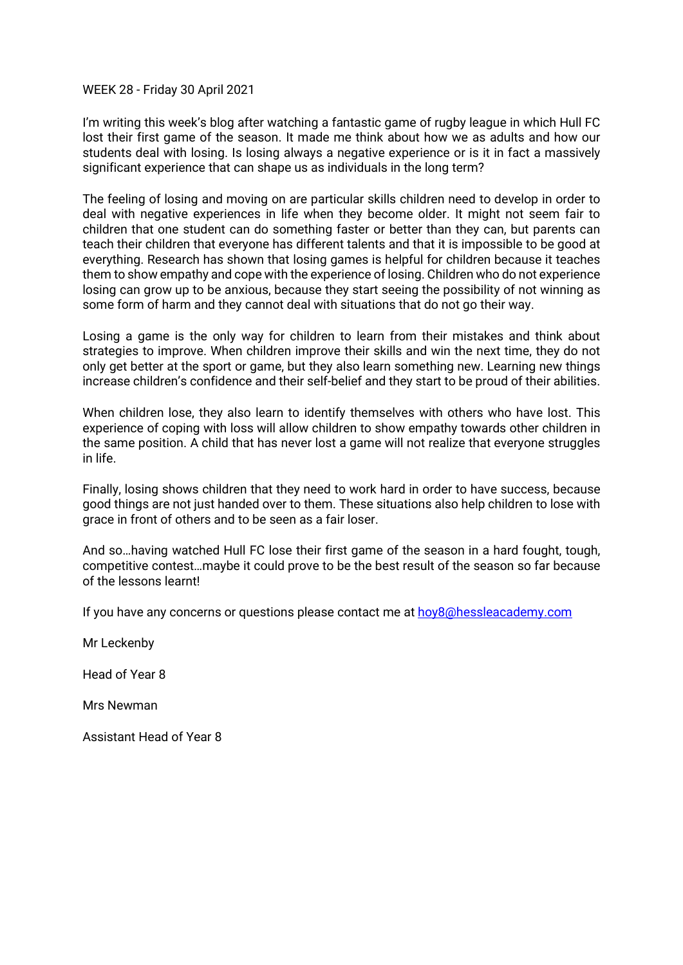## WEEK 28 - Friday 30 April 2021

I'm writing this week's blog after watching a fantastic game of rugby league in which Hull FC lost their first game of the season. It made me think about how we as adults and how our students deal with losing. Is losing always a negative experience or is it in fact a massively significant experience that can shape us as individuals in the long term?

The feeling of losing and moving on are particular skills children need to develop in order to deal with negative experiences in life when they become older. It might not seem fair to children that one student can do something faster or better than they can, but parents can teach their children that everyone has different talents and that it is impossible to be good at everything. Research has shown that losing games is helpful for children because it teaches them to show empathy and cope with the experience of losing. Children who do not experience losing can grow up to be anxious, because they start seeing the possibility of not winning as some form of harm and they cannot deal with situations that do not go their way.

Losing a game is the only way for children to learn from their mistakes and think about strategies to improve. When children improve their skills and win the next time, they do not only get better at the sport or game, but they also learn something new. Learning new things increase children's confidence and their self-belief and they start to be proud of their abilities.

When children lose, they also learn to identify themselves with others who have lost. This experience of coping with loss will allow children to show empathy towards other children in the same position. A child that has never lost a game will not realize that everyone struggles in life.

Finally, losing shows children that they need to work hard in order to have success, because good things are not just handed over to them. These situations also help children to lose with grace in front of others and to be seen as a fair loser.

And so…having watched Hull FC lose their first game of the season in a hard fought, tough, competitive contest…maybe it could prove to be the best result of the season so far because of the lessons learnt!

If you have any concerns or questions please contact me at [hoy8@hessleacademy.com](mailto:hoy8@hessleacademy.com)

Mr Leckenby

Head of Year 8

Mrs Newman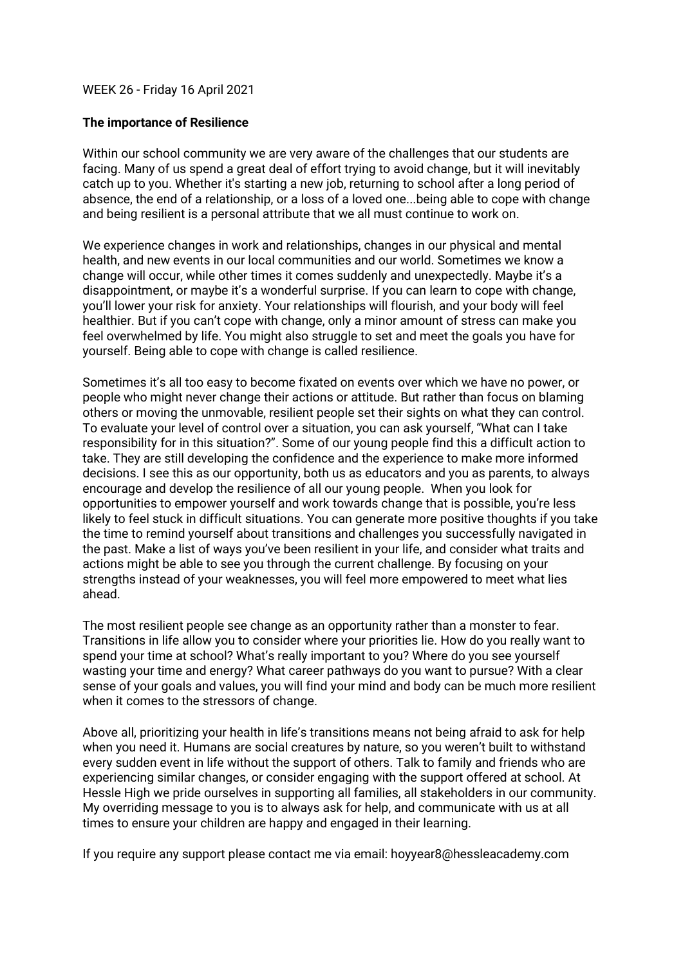# WEEK 26 - Friday 16 April 2021

## **The importance of Resilience**

Within our school community we are very aware of the challenges that our students are facing. Many of us spend a great deal of effort trying to avoid change, but it will inevitably catch up to you. Whether it's starting a new job, returning to school after a long period of absence, the end of a relationship, or a loss of a loved one...being able to cope with change and being resilient is a personal attribute that we all must continue to work on.

We experience changes in work and relationships, changes in our physical and mental health, and new events in our local communities and our world. Sometimes we know a change will occur, while other times it comes suddenly and unexpectedly. Maybe it's a disappointment, or maybe it's a wonderful surprise. If you can learn to cope with change, you'll lower your risk for anxiety. Your relationships will flourish, and your body will feel healthier. But if you can't cope with change, only a minor amount of stress can make you feel overwhelmed by life. You might also struggle to set and meet the goals you have for yourself. Being able to cope with change is called resilience.

Sometimes it's all too easy to become fixated on events over which we have no power, or people who might never change their actions or attitude. But rather than focus on blaming others or moving the unmovable, resilient people set their sights on what they can control. To evaluate your level of control over a situation, you can ask yourself, "What can I take responsibility for in this situation?". Some of our young people find this a difficult action to take. They are still developing the confidence and the experience to make more informed decisions. I see this as our opportunity, both us as educators and you as parents, to always encourage and develop the resilience of all our young people. When you look for opportunities to empower yourself and work towards change that is possible, you're less likely to feel stuck in difficult situations. You can generate more positive thoughts if you take the time to remind yourself about transitions and challenges you successfully navigated in the past. Make a list of ways you've been resilient in your life, and consider what traits and actions might be able to see you through the current challenge. By focusing on your strengths instead of your weaknesses, you will feel more empowered to meet what lies ahead.

The most resilient people see change as an opportunity rather than a monster to fear. Transitions in life allow you to consider where your priorities lie. How do you really want to spend your time at school? What's really important to you? Where do you see yourself wasting your time and energy? What career pathways do you want to pursue? With a clear sense of your goals and values, you will find your mind and body can be much more resilient when it comes to the stressors of change.

Above all, prioritizing your health in life's transitions means not being afraid to ask for help when you need it. Humans are social creatures by nature, so you weren't built to withstand every sudden event in life without the support of others. Talk to family and friends who are experiencing similar changes, or consider engaging with the support offered at school. At Hessle High we pride ourselves in supporting all families, all stakeholders in our community. My overriding message to you is to always ask for help, and communicate with us at all times to ensure your children are happy and engaged in their learning.

If you require any support please contact me via email: hoyyear8@hessleacademy.com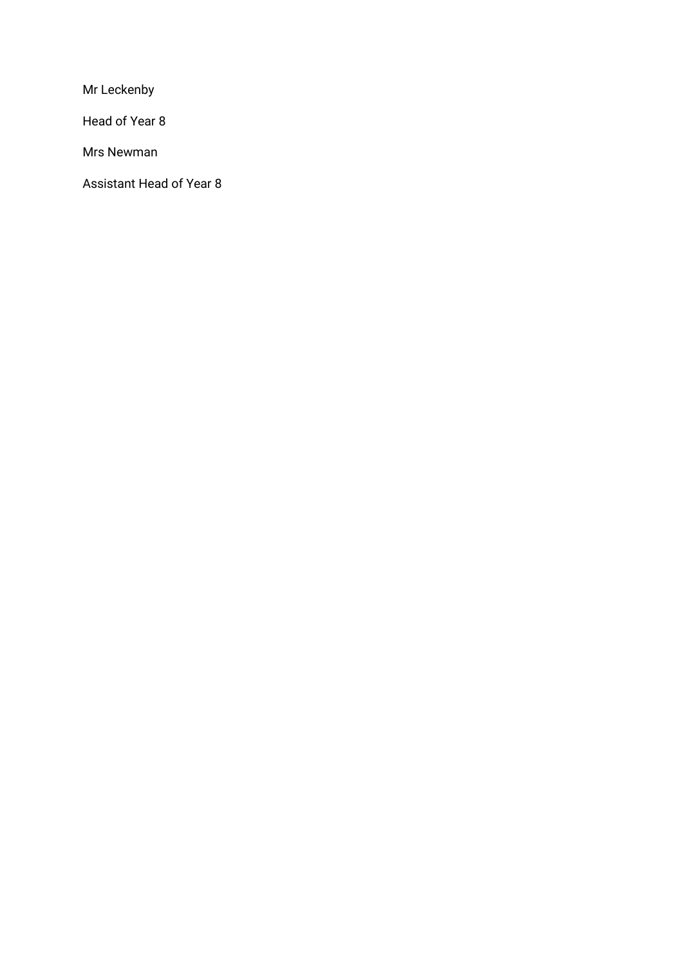Mr Leckenby

Head of Year 8

Mrs Newman